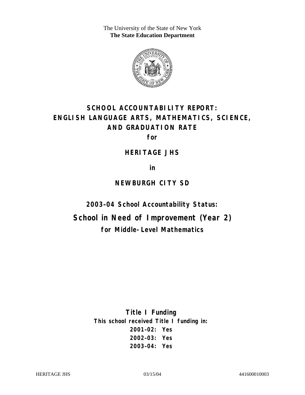The University of the State of New York **The State Education Department** 



# **SCHOOL ACCOUNTABILITY REPORT: ENGLISH LANGUAGE ARTS, MATHEMATICS, SCIENCE, AND GRADUATION RATE**

**for** 

### **HERITAGE JHS**

**in** 

### **NEWBURGH CITY SD**

**2003–04 School Accountability Status:** 

**School in Need of Improvement (Year 2) for Middle-Level Mathematics**

> **Title I Funding This school received Title I funding in: 2001–02: Yes 2002–03: Yes 2003–04: Yes**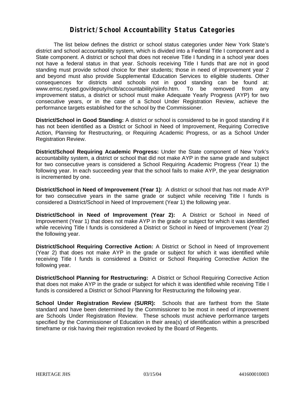### **District/School Accountability Status Categories**

The list below defines the district or school status categories under New York State's district and school accountability system, which is divided into a Federal Title I component and a State component. A district or school that does not receive Title I funding in a school year does not have a federal status in that year. Schools receiving Title I funds that are not in good standing must provide school choice for their students; those in need of improvement year 2 and beyond must also provide Supplemental Education Services to eligible students. Other consequences for districts and schools not in good standing can be found at: www.emsc.nysed.gov/deputy/nclb/accountability/siinfo.htm. To be removed from any improvement status, a district or school must make Adequate Yearly Progress (AYP) for two consecutive years, or in the case of a School Under Registration Review, achieve the performance targets established for the school by the Commissioner.

**District/School in Good Standing:** A district or school is considered to be in good standing if it has not been identified as a District or School in Need of Improvement, Requiring Corrective Action, Planning for Restructuring, or Requiring Academic Progress, or as a School Under Registration Review.

**District/School Requiring Academic Progress:** Under the State component of New York's accountability system, a district or school that did not make AYP in the same grade and subject for two consecutive years is considered a School Requiring Academic Progress (Year 1) the following year. In each succeeding year that the school fails to make AYP, the year designation is incremented by one.

**District/School in Need of Improvement (Year 1):** A district or school that has not made AYP for two consecutive years in the same grade or subject while receiving Title I funds is considered a District/School in Need of Improvement (Year 1) the following year.

**District/School in Need of Improvement (Year 2):** A District or School in Need of Improvement (Year 1) that does not make AYP in the grade or subject for which it was identified while receiving Title I funds is considered a District or School in Need of Improvement (Year 2) the following year.

**District/School Requiring Corrective Action:** A District or School in Need of Improvement (Year 2) that does not make AYP in the grade or subject for which it was identified while receiving Title I funds is considered a District or School Requiring Corrective Action the following year.

**District/School Planning for Restructuring:** A District or School Requiring Corrective Action that does not make AYP in the grade or subject for which it was identified while receiving Title I funds is considered a District or School Planning for Restructuring the following year.

**School Under Registration Review (SURR):** Schools that are farthest from the State standard and have been determined by the Commissioner to be most in need of improvement are Schools Under Registration Review. These schools must achieve performance targets specified by the Commissioner of Education in their area(s) of identification within a prescribed timeframe or risk having their registration revoked by the Board of Regents.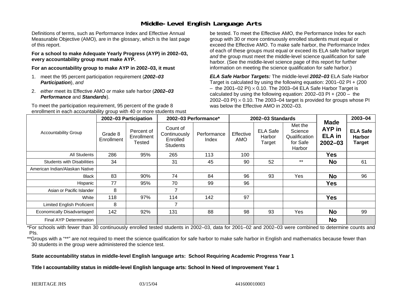# **Middle-Level English Language Arts**

Definitions of terms, such as Performance Index and Effective Annual Measurable Objective (AMO), are in the glossary, which is the last page of this report.

**For a school to make Adequate Yearly Progress (AYP) in 2002–03, every accountability group must make AYP.** 

**For an accountability group to make AYP in 2002–03, it must** 

- 1. meet the 95 percent participation requirement (*2002–03 Participation*), *and*
- 2. *either* meet its Effective AMO *or* make safe harbor (*2002–03 Performance* and *Standards*).

To meet the participation requirement, 95 percent of the grade 8 enrollment in each accountability group with 40 or more students must

be tested. To meet the Effective AMO, the Performance Index for each group with 30 or more continuously enrolled students must equal or exceed the Effective AMO. To make safe harbor, the Performance Index of each of these groups must equal or exceed its ELA safe harbor target *and* the group must meet the middle-level science qualification for safe harbor. (See the middle-level science page of this report for further information on meeting the science qualification for safe harbor.)

*ELA Safe Harbor Targets:* The middle-level *2002–03* ELA Safe Harbor Target is calculated by using the following equation: 2001–02 PI + (200  $-$  the 2001–02 PI)  $\times$  0.10. The 2003–04 ELA Safe Harbor Target is  $\,$ calculated by using the following equation:  $2002-03$  PI +  $(200 -$  the 2002–03 PI)  $\times$  0.10. The 2003–04 target is provided for groups whose PI was below the Effective AMO in 2002–03.

| <b>Accountability Group</b>       | 2002-03 Participation |                                    | 2002-03 Performance*                                    |                      | 2002-03 Standards       |                                     |                                                           |                                                              | 2003-04                                           |
|-----------------------------------|-----------------------|------------------------------------|---------------------------------------------------------|----------------------|-------------------------|-------------------------------------|-----------------------------------------------------------|--------------------------------------------------------------|---------------------------------------------------|
|                                   | Grade 8<br>Enrollment | Percent of<br>Enrollment<br>Tested | Count of<br>Continuously<br>Enrolled<br><b>Students</b> | Performance<br>Index | Effective<br><b>AMO</b> | <b>ELA Safe</b><br>Harbor<br>Target | Met the<br>Science<br>Qualification<br>for Safe<br>Harbor | <b>Made</b><br><b>AYP</b> in<br><b>ELA</b> in<br>$2002 - 03$ | <b>ELA Safe</b><br><b>Harbor</b><br><b>Target</b> |
| All Students                      | 286                   | 95%                                | 265                                                     | 113                  | 100                     |                                     |                                                           | <b>Yes</b>                                                   |                                                   |
| <b>Students with Disabilities</b> | 34                    |                                    | 31                                                      | 45                   | 90                      | 52                                  | $***$                                                     | <b>No</b>                                                    | 61                                                |
| American Indian/Alaskan Native    |                       |                                    |                                                         |                      |                         |                                     |                                                           |                                                              |                                                   |
| Black                             | 83                    | 90%                                | 74                                                      | 84                   | 96                      | 93                                  | Yes                                                       | <b>No</b>                                                    | 96                                                |
| Hispanic                          | 77                    | 95%                                | 70                                                      | 99                   | 96                      |                                     |                                                           | Yes                                                          |                                                   |
| Asian or Pacific Islander         | 8                     |                                    |                                                         |                      |                         |                                     |                                                           |                                                              |                                                   |
| White                             | 118                   | 97%                                | 114                                                     | 142                  | 97                      |                                     |                                                           | <b>Yes</b>                                                   |                                                   |
| Limited English Proficient        | 8                     |                                    | 7                                                       |                      |                         |                                     |                                                           |                                                              |                                                   |
| Economically Disadvantaged        | 142                   | 92%                                | 131                                                     | 88                   | 98                      | 93                                  | Yes                                                       | <b>No</b>                                                    | 99                                                |
| <b>Final AYP Determination</b>    |                       |                                    |                                                         |                      |                         |                                     |                                                           | <b>No</b>                                                    |                                                   |

\*For schools with fewer than 30 continuously enrolled tested students in 2002–03, data for 2001–02 and 2002–03 were combined to determine counts and PIs.

\*\*Groups with a "\*\*" are not required to meet the science qualification for safe harbor to make safe harbor in English and mathematics because fewer than 30 students in the group were administered the science test.

**State accountability status in middle-level English language arts: School Requiring Academic Progress Year 1** 

Title I accountability status in middle-level English language arts: School In Need of Improvement Year 1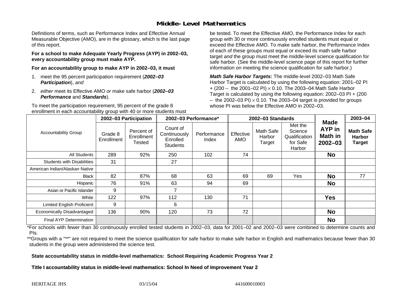# **Middle-Level Mathematics**

Definitions of terms, such as Performance Index and Effective Annual Measurable Objective (AMO), are in the glossary, which is the last page of this report.

**For a school to make Adequate Yearly Progress (AYP) in 2002–03, every accountability group must make AYP.** 

**For an accountability group to make AYP in 2002–03, it must** 

- 1. meet the 95 percent participation requirement (*2002–03 Participation*), *and*
- 2. *either* meet its Effective AMO *or* make safe harbor (*2002–03 Performance* and *Standards*).

To meet the participation requirement, 95 percent of the grade 8 enrollment in each accountability group with 40 or more students must be tested. To meet the Effective AMO, the Performance Index for each group with 30 or more continuously enrolled students must equal or exceed the Effective AMO. To make safe harbor, the Performance Index of each of these groups must equal or exceed its math safe harbor target *and* the group must meet the middle-level science qualification for safe harbor. (See the middle-level science page of this report for further information on meeting the science qualification for safe harbor.)

*Math Safe Harbor Targets:* The middle-level 2002–03 Math Safe Harbor Target is calculated by using the following equation: 2001–02 PI + (200 – the 2001–02 PI) × 0.10. The 2003–04 Math Safe Harbor Target is calculated by using the following equation: 2002–03 PI + (200  $-$  the 2002–03 PI)  $\times$  0.10. The 2003–04 target is provided for groups whose PI was below the Effective AMO in 2002–03

| <b>Accountability Group</b>       | 2002-03 Participation |                                    | 2002-03 Performance*                                    |                      | 2002-03 Standards       |                               |                                                           |                                                        | 2003-04                                            |
|-----------------------------------|-----------------------|------------------------------------|---------------------------------------------------------|----------------------|-------------------------|-------------------------------|-----------------------------------------------------------|--------------------------------------------------------|----------------------------------------------------|
|                                   | Grade 8<br>Enrollment | Percent of<br>Enrollment<br>Tested | Count of<br>Continuously<br>Enrolled<br><b>Students</b> | Performance<br>Index | Effective<br><b>AMO</b> | Math Safe<br>Harbor<br>Target | Met the<br>Science<br>Qualification<br>for Safe<br>Harbor | <b>Made</b><br>AYP in<br><b>Math in</b><br>$2002 - 03$ | <b>Math Safe</b><br><b>Harbor</b><br><b>Target</b> |
| All Students                      | 289                   | 92%                                | 250                                                     | 102                  | 74                      |                               |                                                           | <b>No</b>                                              |                                                    |
| <b>Students with Disabilities</b> | 31                    |                                    | 27                                                      |                      |                         |                               |                                                           |                                                        |                                                    |
| American Indian/Alaskan Native    |                       |                                    |                                                         |                      |                         |                               |                                                           |                                                        |                                                    |
| <b>Black</b>                      | 82                    | 87%                                | 68                                                      | 63                   | 69                      | 69                            | Yes                                                       | <b>No</b>                                              | 77                                                 |
| Hispanic                          | 76                    | 91%                                | 63                                                      | 94                   | 69                      |                               |                                                           | <b>No</b>                                              |                                                    |
| Asian or Pacific Islander         | 9                     |                                    |                                                         |                      |                         |                               |                                                           |                                                        |                                                    |
| White                             | 122                   | 97%                                | 112                                                     | 130                  | 71                      |                               |                                                           | <b>Yes</b>                                             |                                                    |
| <b>Limited English Proficient</b> | 9                     |                                    | 6                                                       |                      |                         |                               |                                                           |                                                        |                                                    |
| Economically Disadvantaged        | 136                   | 90%                                | 120                                                     | 73                   | 72                      |                               |                                                           | <b>No</b>                                              |                                                    |
| Final AYP Determination           |                       |                                    |                                                         |                      |                         |                               |                                                           | <b>No</b>                                              |                                                    |

\*For schools with fewer than 30 continuously enrolled tested students in 2002–03, data for 2001–02 and 2002–03 were combined to determine counts and PIs.

\*\*Groups with a "\*\*" are not required to meet the science qualification for safe harbor to make safe harbor in English and mathematics because fewer than 30 students in the group were administered the science test.

**State accountability status in middle-level mathematics: School Requiring Academic Progress Year 2** 

Title I accountability status in middle-level mathematics: School In Need of Improvement Year 2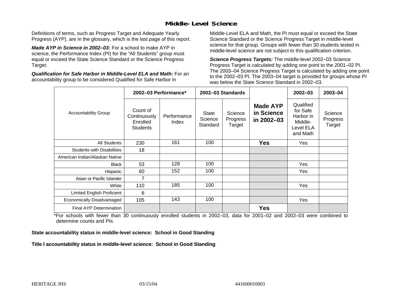# **Middle-Level Science**

Definitions of terms, such as Progress Target and Adequate Yearly Progress (AYP), are in the glossary, which is the last page of this report.

*Made AYP in Science in 2002–03:* For a school to make AYP in science, the Performance Index (PI) for the "All Students" group must equal or exceed the State Science Standard or the Science Progress Target.

*Qualification for Safe Harbor in Middle-Level ELA and Math:* For an accountability group to be considered Qualified for Safe Harbor in

Middle-Level ELA and Math, the PI must equal or exceed the State Science Standard or the Science Progress Target in middle-level science for that group. Groups with fewer than 30 students tested in middle-level science are not subject to this qualification criterion.

*Science Progress Targets:* The middle-level 2002–03 Science Progress Target is calculated by adding one point to the 2001–02 PI. The 2003–04 Science Progress Target is calculated by adding one point to the 2002–03 PI. The 2003–04 target is provided for groups whose PI was below the State Science Standard in 2002–03.

|                                   |                                                         | 2002-03 Performance* |                                     | 2002-03 Standards             |                                             | $2002 - 03$                                                            | $2003 - 04$                   |
|-----------------------------------|---------------------------------------------------------|----------------------|-------------------------------------|-------------------------------|---------------------------------------------|------------------------------------------------------------------------|-------------------------------|
| <b>Accountability Group</b>       | Count of<br>Continuously<br>Enrolled<br><b>Students</b> | Performance<br>Index | <b>State</b><br>Science<br>Standard | Science<br>Progress<br>Target | <b>Made AYP</b><br>in Science<br>in 2002-03 | Qualified<br>for Safe<br>Harbor in<br>Middle-<br>Level ELA<br>and Math | Science<br>Progress<br>Target |
| <b>All Students</b>               | 230                                                     | 161                  | 100                                 |                               | <b>Yes</b>                                  | Yes                                                                    |                               |
| <b>Students with Disabilities</b> | 18                                                      |                      |                                     |                               |                                             |                                                                        |                               |
| American Indian/Alaskan Native    |                                                         |                      |                                     |                               |                                             |                                                                        |                               |
| <b>Black</b>                      | 53                                                      | 128                  | 100                                 |                               |                                             | Yes                                                                    |                               |
| Hispanic                          | 60                                                      | 152                  | 100                                 |                               |                                             | Yes                                                                    |                               |
| Asian or Pacific Islander         | 7                                                       |                      |                                     |                               |                                             |                                                                        |                               |
| White                             | 110                                                     | 185                  | 100                                 |                               |                                             | Yes                                                                    |                               |
| Limited English Proficient        | 6                                                       |                      |                                     |                               |                                             |                                                                        |                               |
| Economically Disadvantaged        | 105                                                     | 143                  | 100                                 |                               |                                             | Yes                                                                    |                               |
| <b>Final AYP Determination</b>    |                                                         |                      |                                     |                               | <b>Yes</b>                                  |                                                                        |                               |

\*For schools with fewer than 30 continuously enrolled students in 2002–03, data for 2001–02 and 2002–03 were combined to determine counts and PIs.

**State accountability status in middle-level science: School in Good Standing** 

Title I accountability status in middle-level science: School in Good Standing